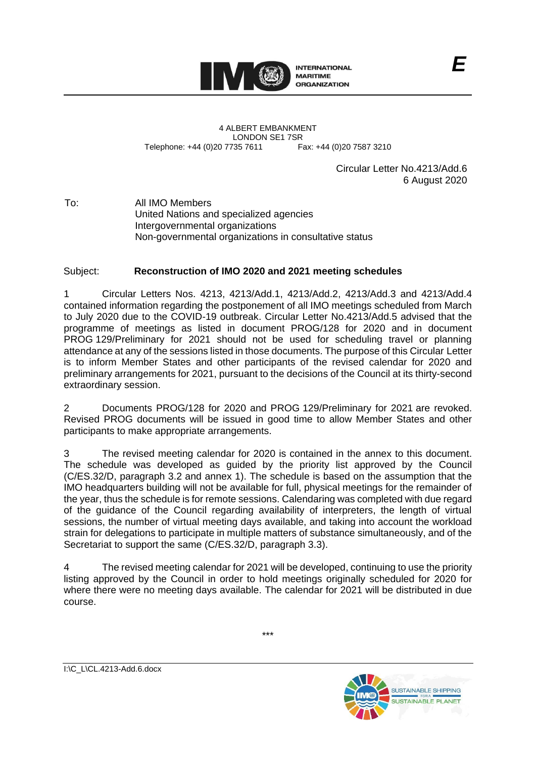

4 ALBERT EMBANKMENT LONDON SE1 7SR<br>735 7611 Fax: +44 (0)20 7587 3210 Telephone: +44 (0)20 7735 7611

> Circular Letter No.4213/Add.6 6 August 2020

To: All IMO Members United Nations and specialized agencies Intergovernmental organizations Non-governmental organizations in consultative status

## Subject: **Reconstruction of IMO 2020 and 2021 meeting schedules**

1 Circular Letters Nos. 4213, 4213/Add.1, 4213/Add.2, 4213/Add.3 and 4213/Add.4 contained information regarding the postponement of all IMO meetings scheduled from March to July 2020 due to the COVID-19 outbreak. Circular Letter No.4213/Add.5 advised that the programme of meetings as listed in document PROG/128 for 2020 and in document PROG 129/Preliminary for 2021 should not be used for scheduling travel or planning attendance at any of the sessions listed in those documents. The purpose of this Circular Letter is to inform Member States and other participants of the revised calendar for 2020 and preliminary arrangements for 2021, pursuant to the decisions of the Council at its thirty-second extraordinary session.

2 Documents PROG/128 for 2020 and PROG 129/Preliminary for 2021 are revoked. Revised PROG documents will be issued in good time to allow Member States and other participants to make appropriate arrangements.

3 The revised meeting calendar for 2020 is contained in the annex to this document. The schedule was developed as guided by the priority list approved by the Council (C/ES.32/D, paragraph 3.2 and annex 1). The schedule is based on the assumption that the IMO headquarters building will not be available for full, physical meetings for the remainder of the year, thus the schedule is for remote sessions. Calendaring was completed with due regard of the guidance of the Council regarding availability of interpreters, the length of virtual sessions, the number of virtual meeting days available, and taking into account the workload strain for delegations to participate in multiple matters of substance simultaneously, and of the Secretariat to support the same (C/ES.32/D, paragraph 3.3).

4 The revised meeting calendar for 2021 will be developed, continuing to use the priority listing approved by the Council in order to hold meetings originally scheduled for 2020 for where there were no meeting days available. The calendar for 2021 will be distributed in due course.

I:\C\_L\CL.4213-Add.6.docx